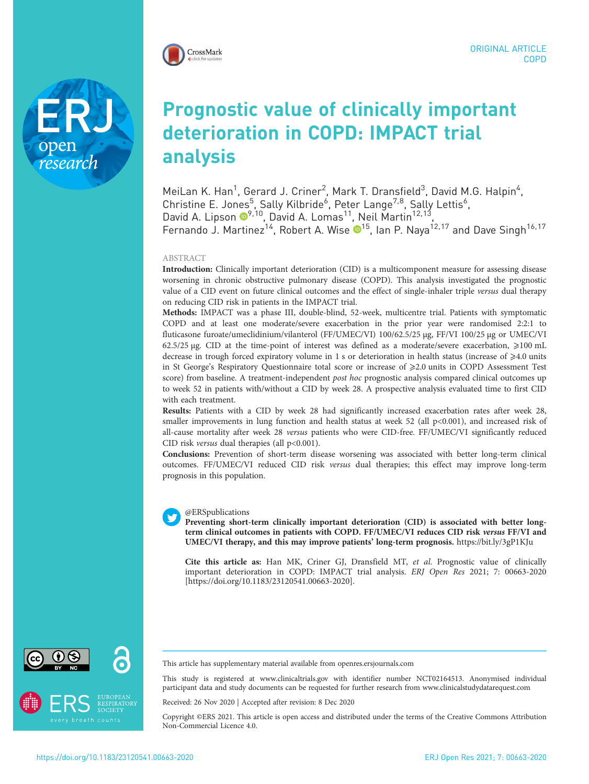

Prognostic value of clinically important deterioration in COPD: IMPACT trial analysis

MeiLan K. Han<sup>1</sup>, Gerard J. Criner<sup>2</sup>, Mark T. Dransfield<sup>3</sup>, David M.G. Halpin<sup>4</sup>, Christine E. Jones<sup>5</sup>, Sally Kilbride<sup>6</sup>, Peter Lange<sup>7,8</sup>, Sally Lettis<sup>6</sup>, David A. Lipson <sup>®[9](https://orcid.org/0000-0001-6732-4593),10</sup>, David A. Lomas<sup>11</sup>, Neil Martin<sup>12,13</sup>, Fernando J. Martinez<sup>14</sup>, Robert A. Wise  $\mathbf{O}^{15}$ , Ian P. Naya<sup>12,17</sup> and Dave Singh<sup>16,17</sup>

## ABSTRACT

Introduction: Clinically important deterioration (CID) is a multicomponent measure for assessing disease worsening in chronic obstructive pulmonary disease (COPD). This analysis investigated the prognostic value of a CID event on future clinical outcomes and the effect of single-inhaler triple versus dual therapy on reducing CID risk in patients in the IMPACT trial.

Methods: IMPACT was a phase III, double-blind, 52-week, multicentre trial. Patients with symptomatic COPD and at least one moderate/severe exacerbation in the prior year were randomised 2:2:1 to fluticasone furoate/umeclidinium/vilanterol (FF/UMEC/VI) 100/62.5/25 µg, FF/VI 100/25 µg or UMEC/VI 62.5/25  $\mu$ g. CID at the time-point of interest was defined as a moderate/severe exacerbation,  $\geq 100$  mL decrease in trough forced expiratory volume in 1 s or deterioration in health status (increase of ≥4.0 units in St George's Respiratory Questionnaire total score or increase of  $\geq 2.0$  units in COPD Assessment Test score) from baseline. A treatment-independent post hoc prognostic analysis compared clinical outcomes up to week 52 in patients with/without a CID by week 28. A prospective analysis evaluated time to first CID with each treatment.

Results: Patients with a CID by week 28 had significantly increased exacerbation rates after week 28, smaller improvements in lung function and health status at week 52 (all p<0.001), and increased risk of all-cause mortality after week 28 versus patients who were CID-free. FF/UMEC/VI significantly reduced CID risk versus dual therapies (all p<0.001).

Conclusions: Prevention of short-term disease worsening was associated with better long-term clinical outcomes. FF/UMEC/VI reduced CID risk versus dual therapies; this effect may improve long-term prognosis in this population.

## @ERSpublications

Preventing short-term clinically important deterioration (CID) is associated with better longterm clinical outcomes in patients with COPD. FF/UMEC/VI reduces CID risk versus FF/VI and UMEC/VI therapy, and this may improve patients' long-term prognosis. <https://bit.ly/3gP1KJu>

Cite this article as: Han MK, Criner GJ, Dransfield MT, et al. Prognostic value of clinically important deterioration in COPD: IMPACT trial analysis. ERJ Open Res 2021; 7: 00663-2020 [\[https://doi.org/10.1183/23120541.00663-2020\].](https://doi.org/10.1183/23120541.00663-2020)

research



This article has supplementary material available from<openres.ersjournals.com>

This study is registered at [www.clinicaltrials.gov](https://clinicaltrials.gov/) with identifier number NCT02164513. Anonymised individual participant data and study documents can be requested for further research from [www.clinicalstudydatarequest.com](http://www.clinicalstudydatarequest.com)

Received: 26 Nov 2020 | Accepted after revision: 8 Dec 2020

Copyright ©ERS 2021. This article is open access and distributed under the terms of the Creative Commons Attribution Non-Commercial Licence 4.0.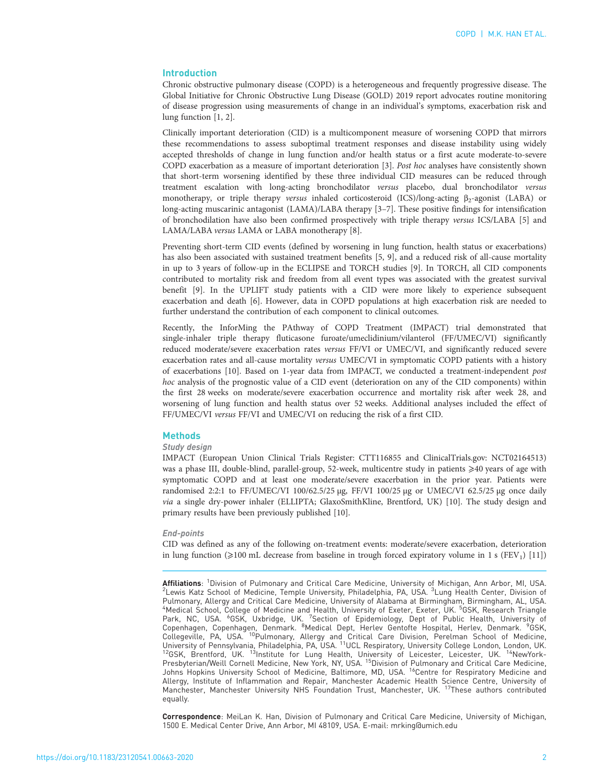# Introduction

Chronic obstructive pulmonary disease (COPD) is a heterogeneous and frequently progressive disease. The Global Initiative for Chronic Obstructive Lung Disease (GOLD) 2019 report advocates routine monitoring of disease progression using measurements of change in an individual's symptoms, exacerbation risk and lung function [\[1](#page-10-0), [2](#page-10-0)].

Clinically important deterioration (CID) is a multicomponent measure of worsening COPD that mirrors these recommendations to assess suboptimal treatment responses and disease instability using widely accepted thresholds of change in lung function and/or health status or a first acute moderate-to-severe COPD exacerbation as a measure of important deterioration [\[3\]](#page-10-0). Post hoc analyses have consistently shown that short-term worsening identified by these three individual CID measures can be reduced through treatment escalation with long-acting bronchodilator versus placebo, dual bronchodilator versus monotherapy, or triple therapy versus inhaled corticosteroid (ICS)/long-acting β<sub>2</sub>-agonist (LABA) or long-acting muscarinic antagonist (LAMA)/LABA therapy [\[3](#page-10-0)–[7](#page-11-0)]. These positive findings for intensification of bronchodilation have also been confirmed prospectively with triple therapy versus ICS/LABA [\[5\]](#page-11-0) and LAMA/LABA versus LAMA or LABA monotherapy [[8](#page-11-0)].

Preventing short-term CID events (defined by worsening in lung function, health status or exacerbations) has also been associated with sustained treatment benefits [\[5, 9](#page-11-0)], and a reduced risk of all-cause mortality in up to 3 years of follow-up in the ECLIPSE and TORCH studies [\[9\]](#page-11-0). In TORCH, all CID components contributed to mortality risk and freedom from all event types was associated with the greatest survival benefit [[9](#page-11-0)]. In the UPLIFT study patients with a CID were more likely to experience subsequent exacerbation and death [[6](#page-11-0)]. However, data in COPD populations at high exacerbation risk are needed to further understand the contribution of each component to clinical outcomes.

Recently, the InforMing the PAthway of COPD Treatment (IMPACT) trial demonstrated that single-inhaler triple therapy fluticasone furoate/umeclidinium/vilanterol (FF/UMEC/VI) significantly reduced moderate/severe exacerbation rates versus FF/VI or UMEC/VI, and significantly reduced severe exacerbation rates and all-cause mortality versus UMEC/VI in symptomatic COPD patients with a history of exacerbations [\[10](#page-11-0)]. Based on 1-year data from IMPACT, we conducted a treatment-independent post hoc analysis of the prognostic value of a CID event (deterioration on any of the CID components) within the first 28 weeks on moderate/severe exacerbation occurrence and mortality risk after week 28, and worsening of lung function and health status over 52 weeks. Additional analyses included the effect of FF/UMEC/VI versus FF/VI and UMEC/VI on reducing the risk of a first CID.

## **Methods**

### Study design

IMPACT ([European Union Clinical Trials Register:](http://www.clinicaltrialsregister.eu/) CTT116855 and [ClinicalTrials.gov:](https://clinicaltrials.gov/) NCT02164513) was a phase III, double-blind, parallel-group, 52-week, multicentre study in patients ≥40 years of age with symptomatic COPD and at least one moderate/severe exacerbation in the prior year. Patients were randomised 2:2:1 to FF/UMEC/VI 100/62.5/25  $\mu$ g, FF/VI 100/25  $\mu$ g or UMEC/VI 62.5/25  $\mu$ g once daily via a single dry-power inhaler (ELLIPTA; GlaxoSmithKline, Brentford, UK) [\[10\]](#page-11-0). The study design and primary results have been previously published [\[10](#page-11-0)].

# End-points

CID was defined as any of the following on-treatment events: moderate/severe exacerbation, deterioration in lung function ( $\geq 100$  mL decrease from baseline in trough forced expiratory volume in 1 s (FEV<sub>1</sub>) [[11\]](#page-11-0))

Correspondence: MeiLan K. Han, Division of Pulmonary and Critical Care Medicine, University of Michigan, 1500 E. Medical Center Drive, Ann Arbor, MI 48109, USA. E-mail: [mrking@umich.edu](mailto:mrking@umich.edu)

Affiliations: <sup>1</sup> Division of Pulmonary and Critical Care Medicine, University of Michigan, Ann Arbor, MI, USA.<br><sup>2</sup>Lowis Katz School of Medicine, Temple University, Philadelphia, PA, USA, <sup>3</sup>Lung Health Center, Division of Lewis Katz School of Medicine, Temple University, Philadelphia, PA, USA. <sup>3</sup>Lung Health Center, Division of Pulmonary, Allergy and Critical Care Medicine, University of Alabama at Birmingham, Birmingham, AL, USA. 4 Medical School, College of Medicine and Health, University of Exeter, Exeter, UK. <sup>5</sup> GSK, Research Triangle Park, NC, USA. <sup>6</sup>GSK, Uxbridge, UK. <sup>7</sup>Section of Epidemiology, Dept of Public Health, University of<br>Copenhagen, Copenhagen, Denmark. <sup>8</sup>Medical Dept, Herlev Gentofte Hospital, Herlev, Denmark. <sup>9</sup>GSK,<br>Collegeville, PA, U University of Pennsylvania, Philadelphia, PA, USA. <sup>11</sup>UCL Respiratory, University College London, London, UK.<br><sup>12</sup>GSK, Brentford, UK. <sup>13</sup>Institute for Lung Health, University of Leicester, Leicester, UK. <sup>14</sup>NewYork-Presbyterian/Weill Cornell Medicine, New York, NY, USA. <sup>15</sup>Division of Pulmonary and Critical Care Medicine, Johns Hopkins University School of Medicine, Baltimore, MD, USA. <sup>16</sup>Centre for Respiratory Medicine and Allergy, Institute of Inflammation and Repair, Manchester Academic Health Science Centre, University of<br>Manchester, Manchester University NHS Foundation Trust, Manchester, UK. <sup>17</sup>These authors contributed equally.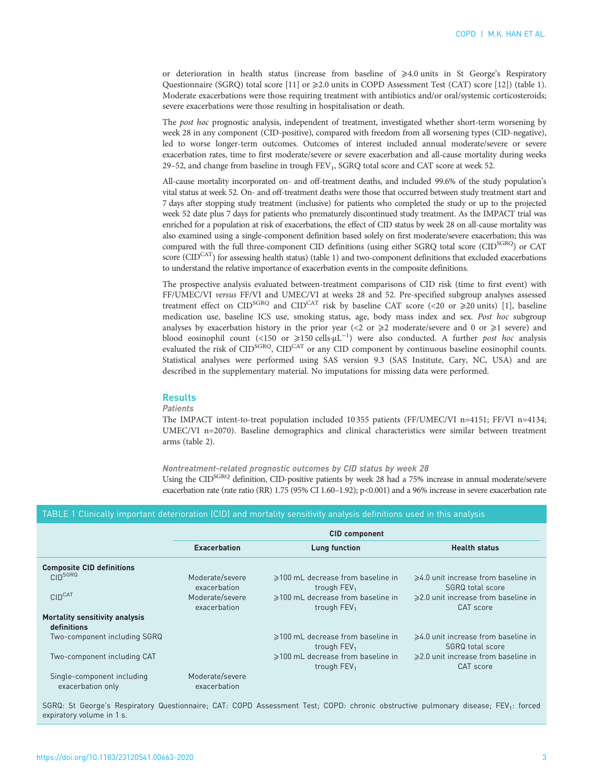or deterioration in health status (increase from baseline of  $\geq 4.0$  units in St George's Respiratory Questionnaire (SGRQ) total score [\[11](#page-11-0)] or  $\geq 2.0$  units in COPD Assessment Test (CAT) score [\[12\]](#page-11-0)) (table 1). Moderate exacerbations were those requiring treatment with antibiotics and/or oral/systemic corticosteroids; severe exacerbations were those resulting in hospitalisation or death.

The post hoc prognostic analysis, independent of treatment, investigated whether short-term worsening by week 28 in any component (CID-positive), compared with freedom from all worsening types (CID-negative), led to worse longer-term outcomes. Outcomes of interest included annual moderate/severe or severe exacerbation rates, time to first moderate/severe or severe exacerbation and all-cause mortality during weeks 29–52, and change from baseline in trough  $FEV_1$ , SGRQ total score and CAT score at week 52.

All-cause mortality incorporated on- and off-treatment deaths, and included 99.6% of the study population's vital status at week 52. On- and off-treatment deaths were those that occurred between study treatment start and 7 days after stopping study treatment (inclusive) for patients who completed the study or up to the projected week 52 date plus 7 days for patients who prematurely discontinued study treatment. As the IMPACT trial was enriched for a population at risk of exacerbations, the effect of CID status by week 28 on all-cause mortality was also examined using a single-component definition based solely on first moderate/severe exacerbation; this was compared with the full three-component CID definitions (using either SGRQ total score (CID<sup>SGRQ</sup>) or CAT score (CID<sup>CAT</sup>) for assessing health status) (table 1) and two-component definitions that excluded exacerbations to understand the relative importance of exacerbation events in the composite definitions.

The prospective analysis evaluated between-treatment comparisons of CID risk (time to first event) with FF/UMEC/VI versus FF/VI and UMEC/VI at weeks 28 and 52. Pre-specified subgroup analyses assessed treatment effect on CID<sup>SGRQ</sup> and CID<sup>CAT</sup> risk by baseline CAT score (<20 or  $\geq 20$  units) [[1\]](#page-10-0), baseline medication use, baseline ICS use, smoking status, age, body mass index and sex. Post hoc subgroup analyses by exacerbation history in the prior year (<2 or  $\geq$ 2 moderate/severe and 0 or  $\geq$ 1 severe) and blood eosinophil count (<150 or  $\geq$ 150 cells· $\mu$ L<sup>-1</sup>) were also conducted. A further *post hoc* analysis evaluated the risk of CID<sup>SGRQ</sup>, CID<sup>CAT</sup> or any CID component by continuous baseline eosinophil counts. Statistical analyses were performed using SAS version 9.3 (SAS Institute, Cary, NC, USA) and are described in the [supplementary material](http://openres.ersjournals.com/lookup/doi/10.1183/23120541.00663-2020.figures-only#fig-data-supplementary-materials). No imputations for missing data were performed.

# **Results**

# **Patients**

The IMPACT intent-to-treat population included 10 355 patients (FF/UMEC/VI n=4151; FF/VI n=4134; UMEC/VI n=2070). Baseline demographics and clinical characteristics were similar between treatment arms [\(table 2](#page-3-0)).

Nontreatment-related prognostic outcomes by CID status by week 28

Using the CID<sup>SGRQ</sup> definition, CID-positive patients by week 28 had a 75% increase in annual moderate/severe exacerbation rate (rate ratio (RR) 1.75 (95% CI 1.60–1.92); p<0.001) and a 96% increase in severe exacerbation rate

### TABLE 1 Clinically important deterioration (CID) and mortality sensitivity analysis definitions used in this analysis

|                                                      | <b>CID</b> component            |                                                                    |                                                               |  |
|------------------------------------------------------|---------------------------------|--------------------------------------------------------------------|---------------------------------------------------------------|--|
|                                                      | <b>Exacerbation</b>             | <b>Lung function</b>                                               | <b>Health status</b>                                          |  |
| <b>Composite CID definitions</b>                     |                                 |                                                                    |                                                               |  |
| <b>CID<sup>SGRQ</sup></b>                            | Moderate/severe<br>exacerbation | $\geq$ 100 mL decrease from baseline in<br>trough FEV <sub>1</sub> | $\geq 4.0$ unit increase from baseline in<br>SGRQ total score |  |
| CID <sup>CAT</sup>                                   | Moderate/severe<br>exacerbation | $\geq$ 100 mL decrease from baseline in<br>trough $FEV1$           | $\geqslant$ 2.0 unit increase from baseline in<br>CAT score   |  |
| <b>Mortality sensitivity analysis</b><br>definitions |                                 |                                                                    |                                                               |  |
| Two-component including SGRQ                         |                                 | $\geq$ 100 mL decrease from baseline in<br>trough FEV <sub>1</sub> | $\geq 4.0$ unit increase from baseline in<br>SGRQ total score |  |
| Two-component including CAT                          |                                 | $\geqslant$ 100 mL decrease from baseline in<br>trough $FEV1$      | $\geq$ 2.0 unit increase from baseline in<br>CAT score        |  |
| Single-component including<br>exacerbation only      | Moderate/severe<br>exacerbation |                                                                    |                                                               |  |

SGRQ: St George's Respiratory Questionnaire; CAT: COPD Assessment Test; COPD: chronic obstructive pulmonary disease; FEV1: forced expiratory volume in 1 s.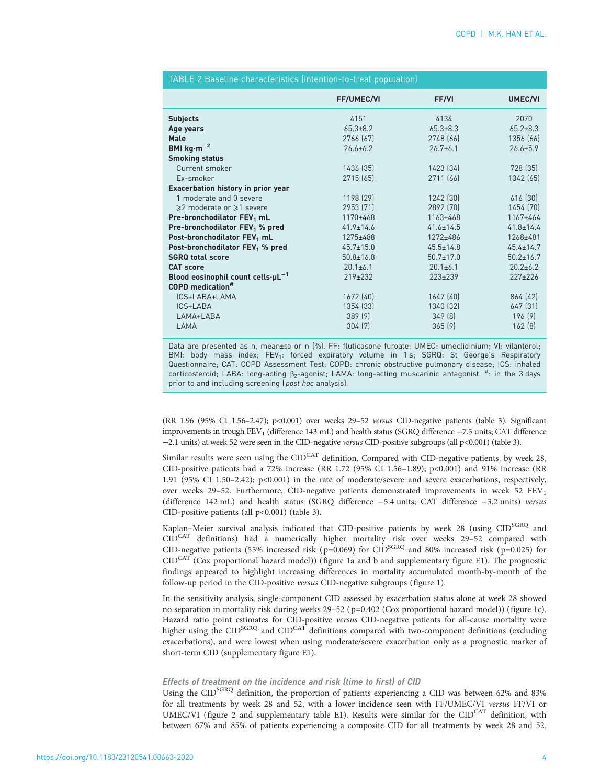<span id="page-3-0"></span>

| TABLE 2 Baseline characteristics (intention-to-treat population) |                 |                 |                 |  |  |
|------------------------------------------------------------------|-----------------|-----------------|-----------------|--|--|
|                                                                  | FF/UMEC/VI      | FF/VI           | <b>UMEC/VI</b>  |  |  |
| <b>Subjects</b>                                                  | 4151            | 4134            | 2070            |  |  |
| Age years                                                        | $65.3 \pm 8.2$  | $65.3 \pm 8.3$  | $65.2 \pm 8.3$  |  |  |
| <b>Male</b>                                                      | 2766 [67]       | 2748 (66)       | 1356 (66)       |  |  |
| BMI kg $\cdot$ m <sup>-2</sup>                                   | $26.6 \pm 6.2$  | $26.7 \pm 6.1$  | $26.6 \pm 5.9$  |  |  |
| <b>Smoking status</b>                                            |                 |                 |                 |  |  |
| Current smoker                                                   | 1436 [35]       | 1423 (34)       | 728 (35)        |  |  |
| Ex-smoker                                                        | 2715(65)        | 2711 [66]       | 1342 (65)       |  |  |
| Exacerbation history in prior year                               |                 |                 |                 |  |  |
| 1 moderate and 0 severe                                          | 1198 (29)       | 1242 [30]       | 616 [30]        |  |  |
| $\geq 2$ moderate or $\geq 1$ severe                             | 2953 [71]       | 2892 [70]       | 1454 [70]       |  |  |
| Pre-bronchodilator FEV <sub>1</sub> mL                           | 1170±468        | 1163±468        | $1167 + 464$    |  |  |
| Pre-bronchodilator FEV <sub>1</sub> % pred                       | $41.9 \pm 14.6$ | $41.6 \pm 14.5$ | $41.8 \pm 14.4$ |  |  |
| Post-bronchodilator FEV <sub>1</sub> mL                          | 1275±488        | $1272 + 486$    | 1268±481        |  |  |
| Post-bronchodilator FEV <sub>1</sub> % pred                      | $45.7 \pm 15.0$ | $45.5 \pm 14.8$ | $45.4 \pm 14.7$ |  |  |
| <b>SGRQ total score</b>                                          | $50.8 \pm 16.8$ | $50.7 \pm 17.0$ | $50.2 \pm 16.7$ |  |  |
| <b>CAT score</b>                                                 | $20.1 \pm 6.1$  | $20.1 \pm 6.1$  | $20.2 + 6.2$    |  |  |
| Blood eosinophil count cells $\cdot \mu L^{-1}$                  | $219 \pm 232$   | $223 \pm 239$   | $227 \pm 226$   |  |  |
| <b>COPD</b> medication <sup>#</sup>                              |                 |                 |                 |  |  |
| ICS+LABA+LAMA                                                    | 1672(40)        | 1647(40)        | 864 (42)        |  |  |
| ICS+LABA                                                         | 1354 [33]       | 1340 (32)       | 647 (31)        |  |  |
| LAMA+LABA                                                        | 389(9)          | 349(8)          | 196(9)          |  |  |
| LAMA                                                             | 304(7)          | 365(9)          | 162[8]          |  |  |

Data are presented as n, mean±so or n (%). FF: fluticasone furoate; UMEC: umeclidinium; VI: vilanterol; BMI: body mass index;  $FEV_1$ : forced expiratory volume in 1 s;  $SGRQ$ : St George's Respiratory Questionnaire; CAT: COPD Assessment Test; COPD: chronic obstructive pulmonary disease; ICS: inhaled corticosteroid; LABA: long-acting  $\beta_2$ -agonist; LAMA: long-acting muscarinic antagonist.  $\overset{\#}{\cdot}$  in the 3 days prior to and including screening (post hoc analysis).

(RR 1.96 (95% CI 1.56–2.47); p<0.001) over weeks 29–52 versus CID-negative patients ([table 3\)](#page-4-0). Significant improvements in trough FEV1 (difference 143 mL) and health status (SGRQ difference −7.5 units; CAT difference −2.1 units) at week 52 were seen in the CID-negative versus CID-positive subgroups (all p<0.001) [\(table 3\)](#page-4-0).

Similar results were seen using the CID<sup>CAT</sup> definition. Compared with CID-negative patients, by week 28, CID-positive patients had a 72% increase (RR 1.72 (95% CI 1.56–1.89); p<0.001) and 91% increase (RR 1.91 (95% CI 1.50–2.42); p<0.001) in the rate of moderate/severe and severe exacerbations, respectively, over weeks 29–52. Furthermore, CID-negative patients demonstrated improvements in week 52  $FEV<sub>1</sub>$ (difference 142 mL) and health status (SGRQ difference −5.4 units; CAT difference −3.2 units) versus CID-positive patients (all p<0.001) ([table 3](#page-4-0)).

Kaplan–Meier survival analysis indicated that CID-positive patients by week 28 (using CID<sup>SGRQ</sup> and CIDCAT definitions) had a numerically higher mortality risk over weeks 29–52 compared with CID-negative patients (55% increased risk ( $p=0.069$ ) for CID<sup>SGRQ</sup> and 80% increased risk ( $p=0.025$ ) for CIDCAT (Cox proportional hazard model)) [\(figure 1a](#page-5-0) and b and [supplementary figure E1](http://openres.ersjournals.com/lookup/doi/10.1183/23120541.00663-2020.figures-only#fig-data-supplementary-materials)). The prognostic findings appeared to highlight increasing differences in mortality accumulated month-by-month of the follow-up period in the CID-positive versus CID-negative subgroups ([figure 1\)](#page-5-0).

In the sensitivity analysis, single-component CID assessed by exacerbation status alone at week 28 showed no separation in mortality risk during weeks 29-52 (p=0.402 (Cox proportional hazard model)) ([figure 1c\)](#page-5-0). Hazard ratio point estimates for CID-positive versus CID-negative patients for all-cause mortality were higher using the CID<sup>SGRQ</sup> and CID<sup>CAT</sup> definitions compared with two-component definitions (excluding exacerbations), and were lowest when using moderate/severe exacerbation only as a prognostic marker of short-term CID ([supplementary figure E1\)](http://openres.ersjournals.com/lookup/doi/10.1183/23120541.00663-2020.figures-only#fig-data-supplementary-materials).

### Effects of treatment on the incidence and risk (time to first) of CID

Using the CID<sup>SGRQ</sup> definition, the proportion of patients experiencing a CID was between 62% and 83% for all treatments by week 28 and 52, with a lower incidence seen with FF/UMEC/VI versus FF/VI or UMEC/VI [\(figure 2](#page-6-0) and [supplementary table E1](http://openres.ersjournals.com/lookup/doi/10.1183/23120541.00663-2020.figures-only#fig-data-supplementary-materials)). Results were similar for the CID<sup>CAT</sup> definition, with between 67% and 85% of patients experiencing a composite CID for all treatments by week 28 and 52.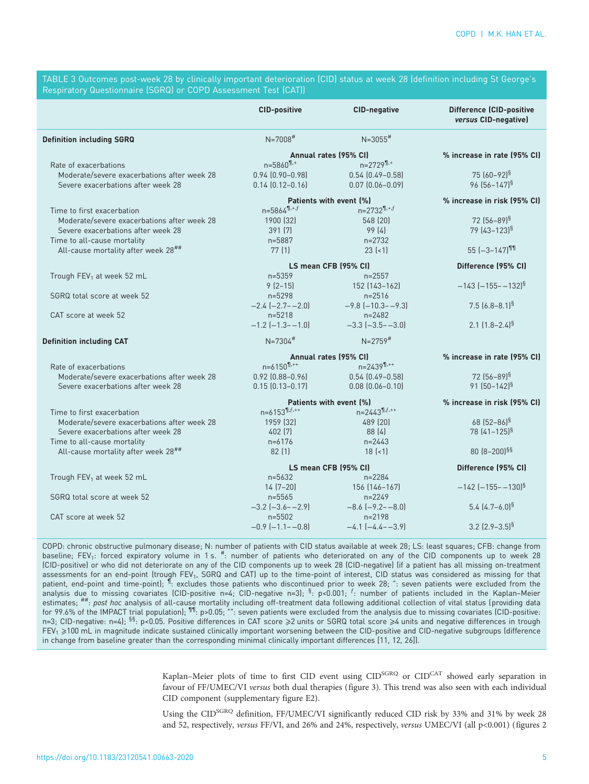<span id="page-4-0"></span>TABLE 3 Outcomes post-week 28 by clinically important deterioration (CID) status at week 28 (definition including St George's Respiratory Questionnaire (SGRQ) or COPD Assessment Test (CAT))

|                                                                                                                 | <b>CID-positive</b>                                | <b>CID-negative</b>                                       | <b>Difference (CID-positive</b><br>versus CID-negative) |
|-----------------------------------------------------------------------------------------------------------------|----------------------------------------------------|-----------------------------------------------------------|---------------------------------------------------------|
| <b>Definition including SGRQ</b>                                                                                | $N = 7008$ <sup>#</sup>                            | $N = 3055$ <sup>#</sup>                                   |                                                         |
| Rate of exacerbations                                                                                           | Annual rates (95% CI)<br>$n = 5860$ <sup>1,+</sup> | % increase in rate (95% CI)                               |                                                         |
| Moderate/severe exacerbations after week 28<br>Severe exacerbations after week 28                               | $0.94$ $[0.90 - 0.98]$<br>$0.14$ $[0.12 - 0.16]$   | $0.54$ $(0.49 - 0.58)$<br>$0.07$ $[0.06 - 0.09]$          | 75 $(60 - 92)^{5}$<br>96 (56-147) <sup>§</sup>          |
| Time to first exacerbation                                                                                      | $n = 5864$ <sup>1,+,f</sup>                        | Patients with event [%]<br>$n = 2732^{1.4}$               | % increase in risk (95% CI)                             |
| Moderate/severe exacerbations after week 28<br>Severe exacerbations after week 28                               | 1900 [32]<br>391(7)                                | 548 (20)<br>99(4)                                         | 72 (56-89)§<br>79 (43-123) <sup>§</sup>                 |
| Time to all-cause mortality<br>All-cause mortality after week 28##                                              | $n = 5887$<br>77(1)                                | $n = 2732$<br>$23$ ( $\leq$ 1)                            | $55 (-3 - 147)$ <sup>11</sup>                           |
|                                                                                                                 |                                                    | LS mean CFB (95% CI)                                      | Difference (95% CI)                                     |
| Trough FEV <sub>1</sub> at week 52 mL<br>SGRQ total score at week 52                                            | $n = 5359$<br>$9(2-15)$<br>$n = 5298$              | $n = 2557$<br>152 (143-162)<br>$n = 2516$                 | $-143$ $(-155 - -132)^{6}$                              |
| CAT score at week 52                                                                                            | $-2.4$ $(-2.7 - -2.0)$<br>$n = 5218$               | $-9.8$ $[-10.3 - -9.3]$<br>$n = 2482$                     | 7.5 $(6.8-8.1)^{5}$                                     |
|                                                                                                                 | $-1.2$ $(-1.3 - -1.0)$                             | $-3.3$ $(-3.5 - -3.0)$                                    | 2.1 $(1.8-2.4)$ <sup>§</sup>                            |
| <b>Definition including CAT</b>                                                                                 | $N = 7304$ <sup>#</sup>                            | $N = 2759$ <sup>#</sup>                                   |                                                         |
| Rate of exacerbations                                                                                           | $n = 6150$ <sup>1</sup> , ++                       | Annual rates (95% CI)<br>$n = 2439$ <sup>1,++</sup>       | % increase in rate (95% CI)                             |
| Moderate/severe exacerbations after week 28<br>Severe exacerbations after week 28                               | $0.92$ $[0.88 - 0.96]$<br>$0.15$ $[0.13 - 0.17]$   | $0.54$ $(0.49 - 0.58)$<br>$0.08$ $(0.06 - 0.10)$          | 72 $[56-89]$ <sup>§</sup><br>91 $(50-142)^{8}$          |
|                                                                                                                 |                                                    | Patients with event [%]                                   | % increase in risk (95% CI)                             |
| Time to first exacerbation<br>Moderate/severe exacerbations after week 28<br>Severe exacerbations after week 28 | $n = 6153$ <sup>1</sup><br>1959 [32]<br>402 [7]    | $n = 2443$ <sup>1,<i>f</i>,++</sup><br>489 (20)<br>88 (4) | 68 $(52-86)^{5}$<br>78 $(41 - 125)^{5}$                 |
| Time to all-cause mortality<br>All-cause mortality after week 28##                                              | $n=6176$<br>82[1]                                  | $n = 2443$<br>$18$ ( $\leq$ 1)                            | 80 (8-200) <sup>§§</sup>                                |
|                                                                                                                 | LS mean CFB (95% CI)                               | Difference (95% CI)                                       |                                                         |
| Trough FEV <sub>1</sub> at week 52 mL<br>SGRQ total score at week 52                                            | $n = 5632$<br>$14(7-20)$<br>$n = 5565$             | $n = 2284$<br>156 (146-167)<br>$n = 2249$                 | $-142$ $(-155 - -130)^{8}$                              |
|                                                                                                                 | $-3.2$ $[-3.6 - -2.9]$                             | $-8.6$ $[-9.2 - -8.0]$                                    | 5.4 $(4.7-6.0)^{5}$                                     |
| CAT score at week 52                                                                                            | $n = 5502$<br>$-0.9$ $[-1.1 - -0.8]$               | $n = 2198$<br>$-4.1$ $[-4.4 - -3.9]$                      | $3.2$ (2.9–3.5) <sup>§</sup>                            |

COPD: chronic obstructive pulmonary disease; N: number of patients with CID status available at week 28; LS: least squares; CFB: change from baseline; FEV<sub>1</sub>: forced expiratory volume in 1 s. <sup>#</sup>: number of patients who deteriorated on any of the CID components up to week 28 (CID-positive) or who did not deteriorate on any of the CID components up to week 28 (CID-negative) (if a patient has all missing on-treatment assessments for an end-point (trough FEV<sub>1</sub>, SGRQ and CAT) up to the time-point of interest, CID status was considered as missing for that patient, end-point and time-point); <sup>fi</sup>: excludes those patients who discontinued prior to week 28; \*: seven patients were excluded from the<br>analysis due to missing covariates (CID-positive n=4; CID-negative n=3); <sup>§</sup>: p< estimates; ##: post hoc analysis of all-cause mortality including off-treatment data following additional collection of vital status (providing data for 99.6% of the IMPACT trial population);  $11$ : p>0.05; <sup>++</sup>: seven patients were excluded from the analysis due to missing covariates (CID-positive: n=3; CID-negative: n=4); <sup>§§</sup>: p<0.05. Positive differences in CAT score ≥2 units or SGRQ total score ≥4 units and negative differences in trough  $FEV<sub>1</sub> \ge 100$  mL in magnitude indicate sustained clinically important worsening between the CID-positive and CID-negative subgroups (difference in change from baseline greater than the corresponding minimal clinically important differences [11, 12, 26]).

> Kaplan–Meier plots of time to first CID event using CID<sup>SGRQ</sup> or CID<sup>CAT</sup> showed early separation in favour of FF/UMEC/VI versus both dual therapies ([figure 3](#page-7-0)). This trend was also seen with each individual CID component ([supplementary figure E2](http://openres.ersjournals.com/lookup/doi/10.1183/23120541.00663-2020.figures-only#fig-data-supplementary-materials)).

> Using the CID<sup>SGRQ</sup> definition, FF/UMEC/VI significantly reduced CID risk by 33% and 31% by week 28 and 52, respectively, versus FF/VI, and 26% and 24%, respectively, versus UMEC/VI (all p<0.001) [\(figures 2](#page-6-0)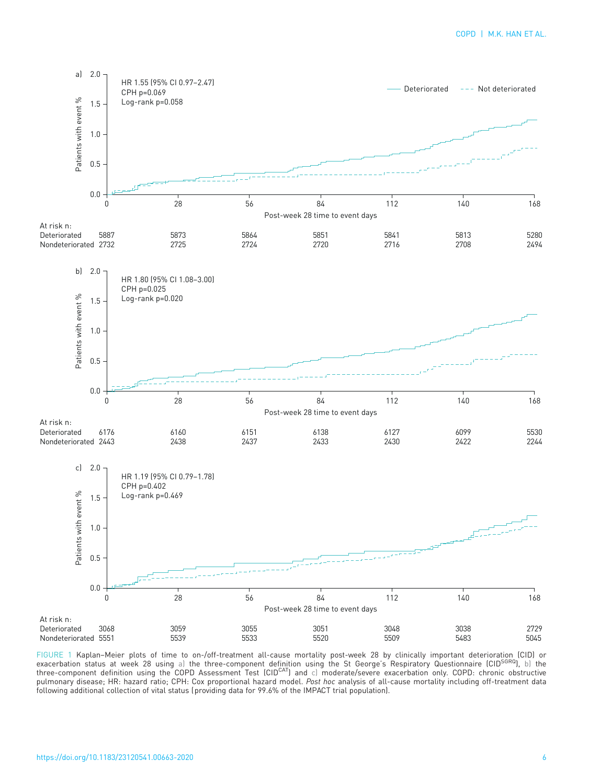<span id="page-5-0"></span>

FIGURE 1 Kaplan–Meier plots of time to on-/off-treatment all-cause mortality post-week 28 by clinically important deterioration (CID) or exacerbation status at week 28 using a) the three-component definition using the St George's Respiratory Questionnaire (CID<sup>SGRQ</sup>), b) the three-component definition using the COPD Assessment Test (CID<sup>CAT</sup>) and c) moderate/severe exacerbation only. COPD: chronic obstructive pulmonary disease; HR: hazard ratio; CPH: Cox proportional hazard model. Post hoc analysis of all-cause mortality including off-treatment data following additional collection of vital status (providing data for 99.6% of the IMPACT trial population).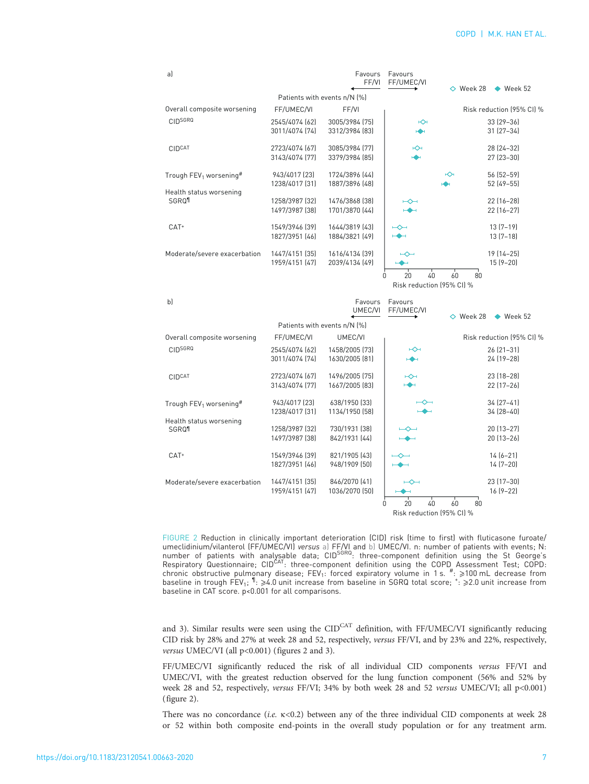<span id="page-6-0"></span>

| a)                                             |                                  | Favours<br>FF/VI                 | Favours<br>FF/UMEC/VI                      | $\Diamond$ Week 28<br>$\blacklozenge$ Week 52 |
|------------------------------------------------|----------------------------------|----------------------------------|--------------------------------------------|-----------------------------------------------|
|                                                |                                  | Patients with events n/N [%]     |                                            |                                               |
| Overall composite worsening                    | FF/UMEC/VI                       | FF/VI                            |                                            | Risk reduction (95% CI) %                     |
| CIDSGRQ                                        | 2545/4074 [62]<br>3011/4074 [74] | 3005/3984 [75]<br>3312/3984 [83] | ↜<br>⊷                                     | $33[29-36]$<br>$31(27-34)$                    |
| <b>CIDCAT</b>                                  | 2723/4074 [67]<br>3143/4074 (77) | 3085/3984 [77]<br>3379/3984 [85] | ↜                                          | 28 (24-32)<br>27 (23-30)                      |
| Trough FEV <sub>1</sub> worsening#             | 943/4017 (23)<br>1238/4017 (31)  | 1724/3896 [44]<br>1887/3896 [48] |                                            | ↜<br>56 (52–59)<br>52 (49-55)                 |
| Health status worsening<br>SGRQ1               | 1258/3987 [32]<br>1497/3987 [38] | 1476/3868 [38]<br>1701/3870 (44) | ⊷                                          | 22 (16-28)<br>22 (16–27)                      |
| CAT+                                           | 1549/3946 [39]<br>1827/3951 [46] | 1644/3819 [43]<br>1884/3821 [49] |                                            | $13(7-19)$<br>$13(7-18)$                      |
| Moderate/severe exacerbation                   | 1447/4151 (35)<br>1959/4151 [47] | 1616/4134 [39]<br>2039/4134 (49) | ⊷                                          | 19 (14-25)<br>$15(9-20)$                      |
|                                                |                                  |                                  | 40<br>0<br>20<br>Risk reduction (95% CI) % | 60<br>80                                      |
| b)                                             |                                  | Favours<br>UMEC/VI               | Favours<br>FF/UMEC/VI                      | $\Diamond$ Week 28<br>$\bullet$ Week 52       |
|                                                |                                  | Patients with events n/N [%]     |                                            |                                               |
| Overall composite worsening                    | FF/UMEC/VI                       | UMEC/VI                          |                                            | Risk reduction (95% CI) %                     |
| CIDSGRQ                                        | 2545/4074 [62]<br>3011/4074 (74) | 1458/2005 [73]<br>1630/2005 (81) | ⊷                                          | $26(21-31)$<br>24 (19-28)                     |
| <b>CIDCAT</b>                                  | 2723/4074 [67]<br>3143/4074 (77) | 1496/2005 [75]<br>1667/2005 [83] |                                            | 23 (18-28)<br>22 (17 - 26)                    |
| Trough FEV <sub>1</sub> worsening <sup>#</sup> | 943/4017 (23)<br>1238/4017 (31)  | 638/1950 [33]<br>1134/1950 (58)  | ∼⊣<br>⊷                                    | $34(27-41)$<br>34 (28-40)                     |
| Health status worsening<br>SGRQ1               | 1258/3987 [32]<br>1497/3987 [38] | 730/1931 [38]<br>842/1931 [44]   |                                            | 20 (13-27)<br>20 (13-26)                      |
| CAT <sup>+</sup>                               | 1549/3946 [39]<br>1827/3951 [46] | 821/1905 [43]<br>948/1909 (50)   |                                            | $14(6-21)$<br>$14(7-20)$                      |
| Moderate/severe exacerbation                   | 1447/4151 (35)<br>1959/4151 [47] | 846/2070 (41)<br>1036/2070 (50)  | 20<br>40<br>0<br>Risk reduction (95% CI) % | 23 (17-30)<br>$16(9-22)$<br>60<br>80          |

FIGURE 2 Reduction in clinically important deterioration (CID) risk (time to first) with fluticasone furoate/<br>umeclidinium/vilanterol (FF/UMEC/VI) versus a) FF/VI and b) UMEC/VI. n: number of patients with events; N: umeclidinium/vilanterol (FF/UMEC/VI) *versus* a) FF/VI and b) UMEC/VI. n: number of patients with events; N:<br>number of patients with analysable data; CID<sup>SGRQ</sup>: three-component definition using the St George's Respiratory Questionnaire; CIDCAT: three-component definition using the COPD Assessment Test; COPD: chronic obstructive pulmonary disease; FEV<sub>1</sub>: forced expiratory volume in 1 s.  $\overline{t}$ :  $\geqslant$ 100 mL decrease from baseline in trough FEV<sub>1</sub>; <sup>¶</sup>:  $\geqslant$ 4.0 unit increase from baseline in SGRQ total score;  $^+$ :  $\geqslant$ 2.0 unit increase from baseline in CAT score. p<0.001 for all comparisons.

and [3\)](#page-7-0). Similar results were seen using the CID<sup>CAT</sup> definition, with FF/UMEC/VI significantly reducing CID risk by 28% and 27% at week 28 and 52, respectively, versus FF/VI, and by 23% and 22%, respectively, versus UMEC/VI (all p<0.001) (figures 2 and [3\)](#page-7-0).

FF/UMEC/VI significantly reduced the risk of all individual CID components versus FF/VI and UMEC/VI, with the greatest reduction observed for the lung function component (56% and 52% by week 28 and 52, respectively, versus FF/VI; 34% by both week 28 and 52 versus UMEC/VI; all p<0.001) (figure 2).

There was no concordance (i.e.  $\kappa$ <0.2) between any of the three individual CID components at week 28 or 52 within both composite end-points in the overall study population or for any treatment arm.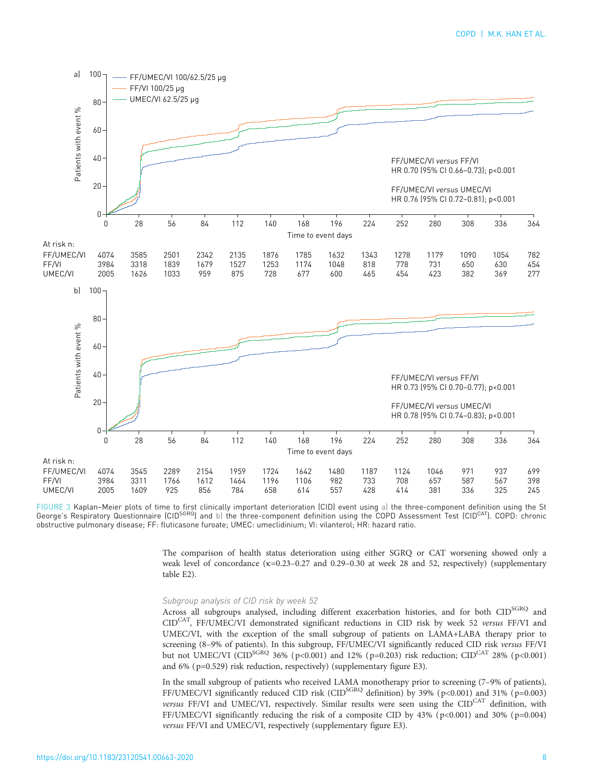<span id="page-7-0"></span>

FIGURE 3 Kaplan–Meier plots of time to first clinically important deterioration (CID) event using a) the three-component definition using the St<br>George's Respiratory Questionnaire (CID<sup>SGRQ</sup>) and b) the three-component def obstructive pulmonary disease; FF: fluticasone furoate; UMEC: umeclidinium; VI: vilanterol; HR: hazard ratio.

The comparison of health status deterioration using either SGRQ or CAT worsening showed only a weak level of concordance (κ=0.23–0.27 and 0.29–0.30 at week 28 and 52, respectively) [\(supplementary](http://openres.ersjournals.com/lookup/doi/10.1183/23120541.00663-2020.figures-only#fig-data-supplementary-materials) [table E2\)](http://openres.ersjournals.com/lookup/doi/10.1183/23120541.00663-2020.figures-only#fig-data-supplementary-materials).

Across all subgroups analysed, including different exacerbation histories, and for both CID<sup>SGRQ</sup> and CIDCAT, FF/UMEC/VI demonstrated significant reductions in CID risk by week 52 versus FF/VI and UMEC/VI, with the exception of the small subgroup of patients on LAMA+LABA therapy prior to screening (8–9% of patients). In this subgroup, FF/UMEC/VI significantly reduced CID risk versus FF/VI but not UMEC/VI (CID<sup>SGRQ</sup> 36% ( $p<0.001$ ) and 12% ( $p=0.203$ ) risk reduction; CID<sup>CAT</sup> 28% ( $p<0.001$ ) and 6% ( p=0.529) risk reduction, respectively) ([supplementary figure E3](http://openres.ersjournals.com/lookup/doi/10.1183/23120541.00663-2020.figures-only#fig-data-supplementary-materials)).

In the small subgroup of patients who received LAMA monotherapy prior to screening (7–9% of patients), FF/UMEC/VI significantly reduced CID risk (CID<sup>SGRQ</sup> definition) by 39% ( $p < 0.001$ ) and 31% ( $p = 0.003$ ) versus FF/VI and UMEC/VI, respectively. Similar results were seen using the CIDCAT definition, with FF/UMEC/VI significantly reducing the risk of a composite CID by  $43\%$  ( $p<0.001$ ) and  $30\%$  ( $p=0.004$ ) versus FF/VI and UMEC/VI, respectively [\(supplementary figure E3](http://openres.ersjournals.com/lookup/doi/10.1183/23120541.00663-2020.figures-only#fig-data-supplementary-materials)).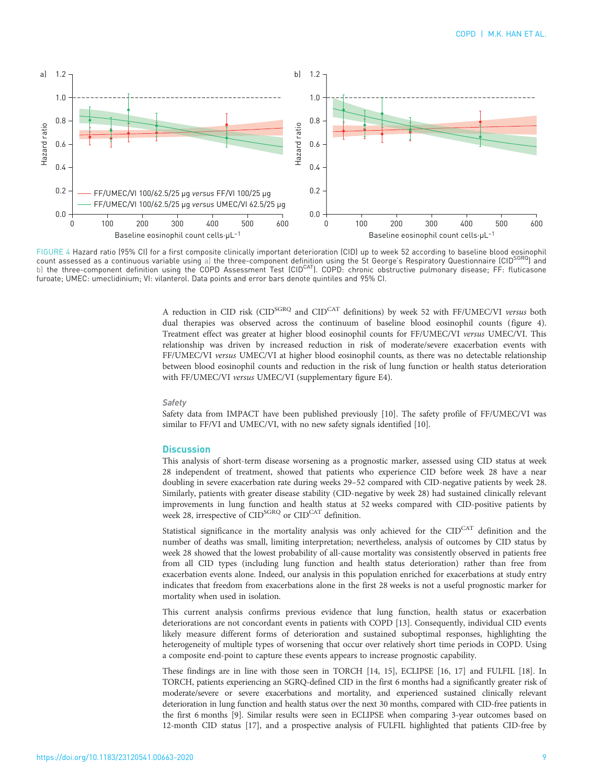

FIGURE 4 Hazard ratio (95% CI) for a first composite clinically important deterioration (CID) up to week 52 according to baseline blood eosinophil count assessed as a continuous variable using a) the three-component definition using the St George's Respiratory Questionnaire (CID<sup>SGRQ</sup>) and b) the three-component definition using the COPD Assessment Test (CIDCAT). COPD: chronic obstructive pulmonary disease; FF: fluticasone furoate; UMEC: umeclidinium; VI: vilanterol. Data points and error bars denote quintiles and 95% CI.

A reduction in CID risk (CID<sup>SGRQ</sup> and CID<sup>CAT</sup> definitions) by week 52 with FF/UMEC/VI versus both dual therapies was observed across the continuum of baseline blood eosinophil counts (figure 4). Treatment effect was greater at higher blood eosinophil counts for FF/UMEC/VI versus UMEC/VI. This relationship was driven by increased reduction in risk of moderate/severe exacerbation events with FF/UMEC/VI versus UMEC/VI at higher blood eosinophil counts, as there was no detectable relationship between blood eosinophil counts and reduction in the risk of lung function or health status deterioration with FF/UMEC/VI versus UMEC/VI [\(supplementary figure E4\)](http://openres.ersjournals.com/lookup/doi/10.1183/23120541.00663-2020.figures-only#fig-data-supplementary-materials).

## Safety

Safety data from IMPACT have been published previously [[10](#page-11-0)]. The safety profile of FF/UMEC/VI was similar to FF/VI and UMEC/VI, with no new safety signals identified [[10](#page-11-0)].

# **Discussion**

This analysis of short-term disease worsening as a prognostic marker, assessed using CID status at week 28 independent of treatment, showed that patients who experience CID before week 28 have a near doubling in severe exacerbation rate during weeks 29–52 compared with CID-negative patients by week 28. Similarly, patients with greater disease stability (CID-negative by week 28) had sustained clinically relevant improvements in lung function and health status at 52 weeks compared with CID-positive patients by week 28, irrespective of CID<sup>SGRQ</sup> or CID<sup>CAT</sup> definition.

Statistical significance in the mortality analysis was only achieved for the CIDCAT definition and the number of deaths was small, limiting interpretation; nevertheless, analysis of outcomes by CID status by week 28 showed that the lowest probability of all-cause mortality was consistently observed in patients free from all CID types (including lung function and health status deterioration) rather than free from exacerbation events alone. Indeed, our analysis in this population enriched for exacerbations at study entry indicates that freedom from exacerbations alone in the first 28 weeks is not a useful prognostic marker for mortality when used in isolation.

This current analysis confirms previous evidence that lung function, health status or exacerbation deteriorations are not concordant events in patients with COPD [\[13\]](#page-11-0). Consequently, individual CID events likely measure different forms of deterioration and sustained suboptimal responses, highlighting the heterogeneity of multiple types of worsening that occur over relatively short time periods in COPD. Using a composite end-point to capture these events appears to increase prognostic capability.

These findings are in line with those seen in TORCH [[14](#page-11-0), [15\]](#page-11-0), ECLIPSE [\[16, 17](#page-11-0)] and FULFIL [[18\]](#page-11-0). In TORCH, patients experiencing an SGRQ-defined CID in the first 6 months had a significantly greater risk of moderate/severe or severe exacerbations and mortality, and experienced sustained clinically relevant deterioration in lung function and health status over the next 30 months, compared with CID-free patients in the first 6 months [\[9](#page-11-0)]. Similar results were seen in ECLIPSE when comparing 3-year outcomes based on 12-month CID status [\[17](#page-11-0)], and a prospective analysis of FULFIL highlighted that patients CID-free by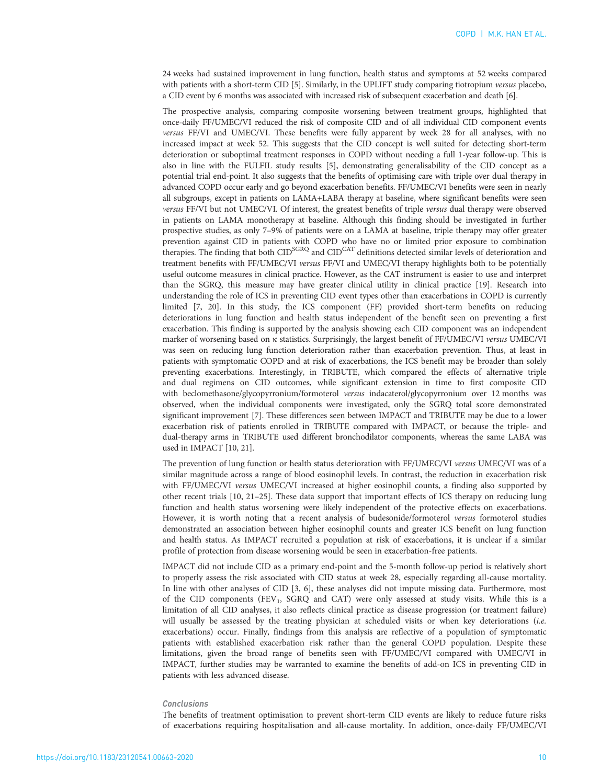24 weeks had sustained improvement in lung function, health status and symptoms at 52 weeks compared with patients with a short-term CID [[5\]](#page-11-0). Similarly, in the UPLIFT study comparing tiotropium versus placebo, a CID event by 6 months was associated with increased risk of subsequent exacerbation and death [[6\]](#page-11-0).

The prospective analysis, comparing composite worsening between treatment groups, highlighted that once-daily FF/UMEC/VI reduced the risk of composite CID and of all individual CID component events versus FF/VI and UMEC/VI. These benefits were fully apparent by week 28 for all analyses, with no increased impact at week 52. This suggests that the CID concept is well suited for detecting short-term deterioration or suboptimal treatment responses in COPD without needing a full 1-year follow-up. This is also in line with the FULFIL study results [[5](#page-11-0)], demonstrating generalisability of the CID concept as a potential trial end-point. It also suggests that the benefits of optimising care with triple over dual therapy in advanced COPD occur early and go beyond exacerbation benefits. FF/UMEC/VI benefits were seen in nearly all subgroups, except in patients on LAMA+LABA therapy at baseline, where significant benefits were seen versus FF/VI but not UMEC/VI. Of interest, the greatest benefits of triple versus dual therapy were observed in patients on LAMA monotherapy at baseline. Although this finding should be investigated in further prospective studies, as only 7–9% of patients were on a LAMA at baseline, triple therapy may offer greater prevention against CID in patients with COPD who have no or limited prior exposure to combination therapies. The finding that both CID<sup>SGRQ</sup> and CID<sup>CAT</sup> definitions detected similar levels of deterioration and treatment benefits with FF/UMEC/VI versus FF/VI and UMEC/VI therapy highlights both to be potentially useful outcome measures in clinical practice. However, as the CAT instrument is easier to use and interpret than the SGRQ, this measure may have greater clinical utility in clinical practice [\[19\]](#page-11-0). Research into understanding the role of ICS in preventing CID event types other than exacerbations in COPD is currently limited [\[7, 20\]](#page-11-0). In this study, the ICS component (FF) provided short-term benefits on reducing deteriorations in lung function and health status independent of the benefit seen on preventing a first exacerbation. This finding is supported by the analysis showing each CID component was an independent marker of worsening based on κ statistics. Surprisingly, the largest benefit of FF/UMEC/VI versus UMEC/VI was seen on reducing lung function deterioration rather than exacerbation prevention. Thus, at least in patients with symptomatic COPD and at risk of exacerbations, the ICS benefit may be broader than solely preventing exacerbations. Interestingly, in TRIBUTE, which compared the effects of alternative triple and dual regimens on CID outcomes, while significant extension in time to first composite CID with beclomethasone/glycopyrronium/formoterol versus indacaterol/glycopyrronium over 12 months was observed, when the individual components were investigated, only the SGRQ total score demonstrated significant improvement [\[7\]](#page-11-0). These differences seen between IMPACT and TRIBUTE may be due to a lower exacerbation risk of patients enrolled in TRIBUTE compared with IMPACT, or because the triple- and dual-therapy arms in TRIBUTE used different bronchodilator components, whereas the same LABA was used in IMPACT [[10](#page-11-0), [21](#page-11-0)].

The prevention of lung function or health status deterioration with FF/UMEC/VI versus UMEC/VI was of a similar magnitude across a range of blood eosinophil levels. In contrast, the reduction in exacerbation risk with FF/UMEC/VI versus UMEC/VI increased at higher eosinophil counts, a finding also supported by other recent trials [\[10, 21](#page-11-0)–[25\]](#page-11-0). These data support that important effects of ICS therapy on reducing lung function and health status worsening were likely independent of the protective effects on exacerbations. However, it is worth noting that a recent analysis of budesonide/formoterol versus formoterol studies demonstrated an association between higher eosinophil counts and greater ICS benefit on lung function and health status. As IMPACT recruited a population at risk of exacerbations, it is unclear if a similar profile of protection from disease worsening would be seen in exacerbation-free patients.

IMPACT did not include CID as a primary end-point and the 5-month follow-up period is relatively short to properly assess the risk associated with CID status at week 28, especially regarding all-cause mortality. In line with other analyses of CID [[3](#page-10-0), [6\]](#page-11-0), these analyses did not impute missing data. Furthermore, most of the CID components (FEV<sub>1</sub>, SGRQ and CAT) were only assessed at study visits. While this is a limitation of all CID analyses, it also reflects clinical practice as disease progression (or treatment failure) will usually be assessed by the treating physician at scheduled visits or when key deteriorations (i.e. exacerbations) occur. Finally, findings from this analysis are reflective of a population of symptomatic patients with established exacerbation risk rather than the general COPD population. Despite these limitations, given the broad range of benefits seen with FF/UMEC/VI compared with UMEC/VI in IMPACT, further studies may be warranted to examine the benefits of add-on ICS in preventing CID in patients with less advanced disease.

### Conclusions

The benefits of treatment optimisation to prevent short-term CID events are likely to reduce future risks of exacerbations requiring hospitalisation and all-cause mortality. In addition, once-daily FF/UMEC/VI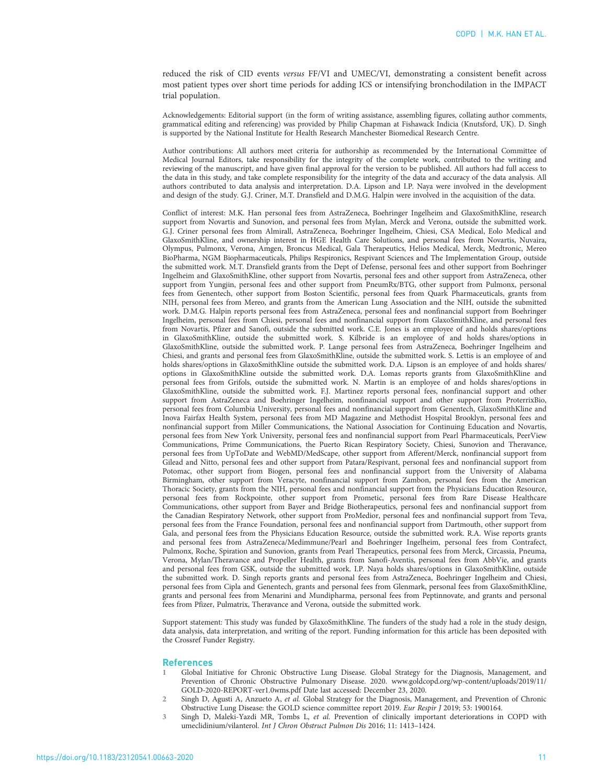<span id="page-10-0"></span>reduced the risk of CID events versus FF/VI and UMEC/VI, demonstrating a consistent benefit across most patient types over short time periods for adding ICS or intensifying bronchodilation in the IMPACT trial population.

Acknowledgements: Editorial support (in the form of writing assistance, assembling figures, collating author comments, grammatical editing and referencing) was provided by Philip Chapman at Fishawack Indicia (Knutsford, UK). D. Singh is supported by the National Institute for Health Research Manchester Biomedical Research Centre.

Author contributions: All authors meet criteria for authorship as recommended by the International Committee of Medical Journal Editors, take responsibility for the integrity of the complete work, contributed to the writing and reviewing of the manuscript, and have given final approval for the version to be published. All authors had full access to the data in this study, and take complete responsibility for the integrity of the data and accuracy of the data analysis. All authors contributed to data analysis and interpretation. D.A. Lipson and I.P. Naya were involved in the development and design of the study. G.J. Criner, M.T. Dransfield and D.M.G. Halpin were involved in the acquisition of the data.

Conflict of interest: M.K. Han personal fees from AstraZeneca, Boehringer Ingelheim and GlaxoSmithKline, research support from Novartis and Sunovion, and personal fees from Mylan, Merck and Verona, outside the submitted work. G.J. Criner personal fees from Almirall, AstraZeneca, Boehringer Ingelheim, Chiesi, CSA Medical, Eolo Medical and GlaxoSmithKline, and ownership interest in HGE Health Care Solutions, and personal fees from Novartis, Nuvaira, Olympus, Pulmonx, Verona, Amgen, Broncus Medical, Gala Therapeutics, Helios Medical, Merck, Medtronic, Mereo BioPharma, NGM Biopharmaceuticals, Philips Respironics, Respivant Sciences and The Implementation Group, outside the submitted work. M.T. Dransfield grants from the Dept of Defense, personal fees and other support from Boehringer Ingelheim and GlaxoSmithKline, other support from Novartis, personal fees and other support from AstraZeneca, other support from Yungjin, personal fees and other support from PneumRx/BTG, other support from Pulmonx, personal fees from Genentech, other support from Boston Scientific, personal fees from Quark Pharmaceuticals, grants from NIH, personal fees from Mereo, and grants from the American Lung Association and the NIH, outside the submitted work. D.M.G. Halpin reports personal fees from AstraZeneca, personal fees and nonfinancial support from Boehringer Ingelheim, personal fees from Chiesi, personal fees and nonfinancial support from GlaxoSmithKline, and personal fees from Novartis, Pfizer and Sanofi, outside the submitted work. C.E. Jones is an employee of and holds shares/options in GlaxoSmithKline, outside the submitted work. S. Kilbride is an employee of and holds shares/options in GlaxoSmithKline, outside the submitted work. P. Lange personal fees from AstraZeneca, Boehringer Ingelheim and Chiesi, and grants and personal fees from GlaxoSmithKline, outside the submitted work. S. Lettis is an employee of and holds shares/options in GlaxoSmithKline outside the submitted work. D.A. Lipson is an employee of and holds shares/ options in GlaxoSmithKline outside the submitted work. D.A. Lomas reports grants from GlaxoSmithKline and personal fees from Grifols, outside the submitted work. N. Martin is an employee of and holds shares/options in GlaxoSmithKline, outside the submitted work. F.J. Martinez reports personal fees, nonfinancial support and other support from AstraZeneca and Boehringer Ingelheim, nonfinancial support and other support from ProterrixBio, personal fees from Columbia University, personal fees and nonfinancial support from Genentech, GlaxoSmithKline and Inova Fairfax Health System, personal fees from MD Magazine and Methodist Hospital Brooklyn, personal fees and nonfinancial support from Miller Communications, the National Association for Continuing Education and Novartis, personal fees from New York University, personal fees and nonfinancial support from Pearl Pharmaceuticals, PeerView Communications, Prime Communications, the Puerto Rican Respiratory Society, Chiesi, Sunovion and Theravance, personal fees from UpToDate and WebMD/MedScape, other support from Afferent/Merck, nonfinancial support from Gilead and Nitto, personal fees and other support from Patara/Respivant, personal fees and nonfinancial support from Potomac, other support from Biogen, personal fees and nonfinancial support from the University of Alabama Birmingham, other support from Veracyte, nonfinancial support from Zambon, personal fees from the American Thoracic Society, grants from the NIH, personal fees and nonfinancial support from the Physicians Education Resource, personal fees from Rockpointe, other support from Prometic, personal fees from Rare Disease Healthcare Communications, other support from Bayer and Bridge Biotherapeutics, personal fees and nonfinancial support from the Canadian Respiratory Network, other support from ProMedior, personal fees and nonfinancial support from Teva, personal fees from the France Foundation, personal fees and nonfinancial support from Dartmouth, other support from Gala, and personal fees from the Physicians Education Resource, outside the submitted work. R.A. Wise reports grants and personal fees from AstraZeneca/Medimmune/Pearl and Boehringer Ingelheim, personal fees from Contrafect, Pulmonx, Roche, Spiration and Sunovion, grants from Pearl Therapeutics, personal fees from Merck, Circassia, Pneuma, Verona, Mylan/Theravance and Propeller Health, grants from Sanofi-Aventis, personal fees from AbbVie, and grants and personal fees from GSK, outside the submitted work. I.P. Naya holds shares/options in GlaxoSmithKline, outside the submitted work. D. Singh reports grants and personal fees from AstraZeneca, Boehringer Ingelheim and Chiesi, personal fees from Cipla and Genentech, grants and personal fees from Glenmark, personal fees from GlaxoSmithKline, grants and personal fees from Menarini and Mundipharma, personal fees from Peptinnovate, and grants and personal fees from Pfizer, Pulmatrix, Theravance and Verona, outside the submitted work.

Support statement: This study was funded by GlaxoSmithKline. The funders of the study had a role in the study design, data analysis, data interpretation, and writing of the report. Funding information for this article has been deposited with the [Crossref Funder Registry.](https://www.crossref.org/services/funder-registry/)

#### References

- 1 Global Initiative for Chronic Obstructive Lung Disease. Global Strategy for the Diagnosis, Management, and Prevention of Chronic Obstructive Pulmonary Disease. 2020. [www.goldcopd.org/wp-content/uploads/2019/11/](http://www.goldcopd.org/wp-content/uploads/2019/11/GOLD-2020-REPORT-ver1.0wms.pdf) [GOLD-2020-REPORT-ver1.0wms.pdf](http://www.goldcopd.org/wp-content/uploads/2019/11/GOLD-2020-REPORT-ver1.0wms.pdf) Date last accessed: December 23, 2020.
- 2 Singh D, Agusti A, Anzueto A, et al. Global Strategy for the Diagnosis, Management, and Prevention of Chronic Obstructive Lung Disease: the GOLD science committee report 2019. Eur Respir J 2019; 53: 1900164.
- 3 Singh D, Maleki-Yazdi MR, Tombs L, et al. Prevention of clinically important deteriorations in COPD with umeclidinium/vilanterol. Int J Chron Obstruct Pulmon Dis 2016; 11: 1413–1424.